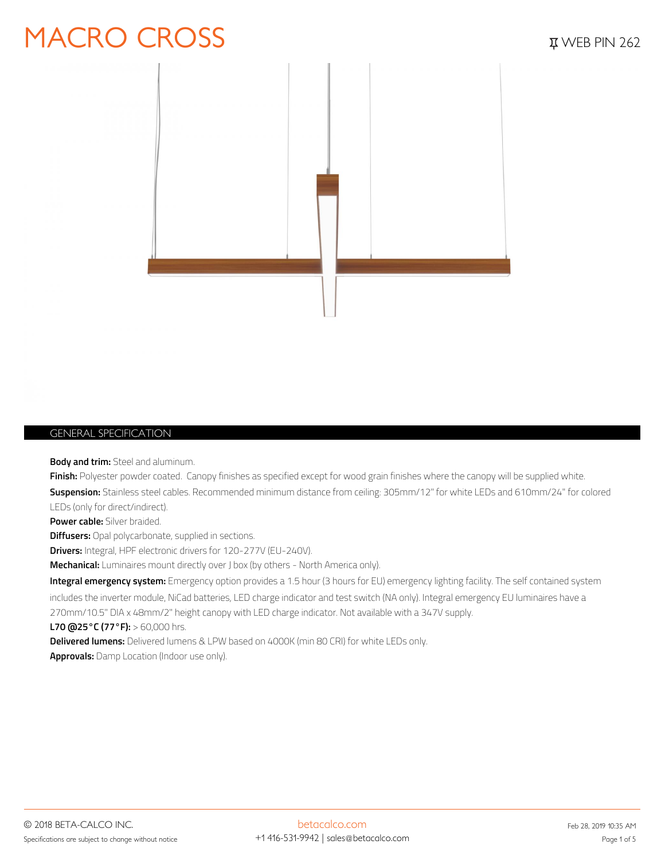### MACRO CROSS *EXPRESS PIN 262*



#### *GENERAL SPECIFICATION*

**Body and trim:** Steel and aluminum.

**Finish:** Polyester powder coated. Canopy finishes as specified except for wood grain finishes where the canopy will be supplied white. **Suspension:** Stainless steel cables. Recommended minimum distance from ceiling: 305mm/12" for white LEDs and 610mm/24" for colored LEDs (only for direct/indirect). **Power cable:** Silver braided. **Diffusers:** Opal polycarbonate, supplied in sections. **Drivers:** Integral, HPF electronic drivers for 120-277V (EU-240V).

**Mechanical:** Luminaires mount directly over J box (by others - North America only).

**Integral emergency system:** Emergency option provides a 1.5 hour (3 hours for EU) emergency lighting facility. The self contained system includes the inverter module, NiCad batteries, LED charge indicator and test switch (NA only). Integral emergency EU luminaires have a 270mm/10.5" DIA x 48mm/2" height canopy with LED charge indicator. Not available with a 347V supply.

**L70 @25°C (77°F):** > 60,000 hrs.

**Delivered lumens:** Delivered lumens & LPW based on 4000K (min 80 CRI) for white LEDs only.

**Approvals:** Damp Location (Indoor use only).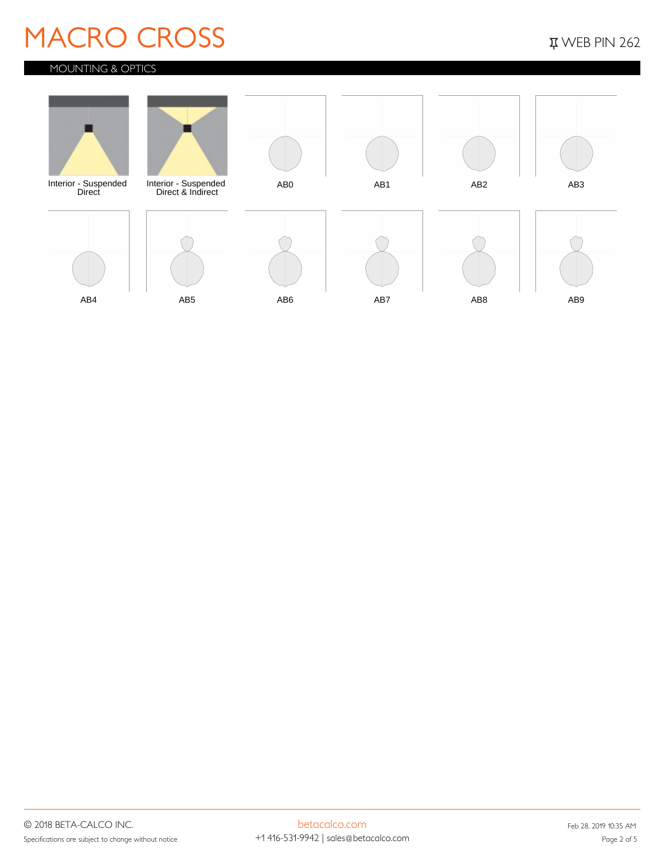### **MACRO CROSS** *WACRO CROSS*

### *MOUNTING & OPTICS*

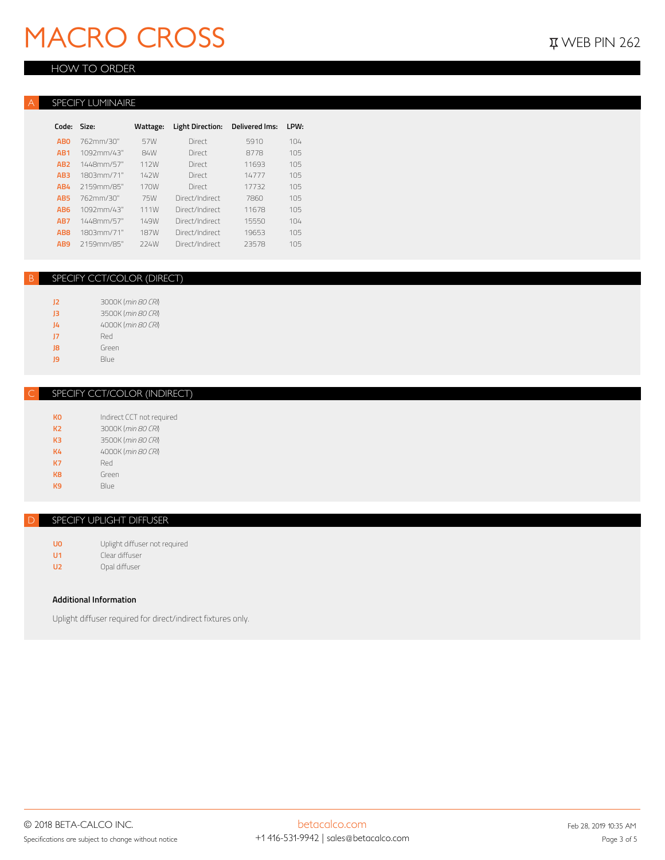# **MACRO CROSS** *WEB PIN 262*

#### *HOW TO ORDER*

#### *A* **SPECIFY LUMINAIRE**

| Code:           | Size:      | Wattage:    | <b>Light Direction:</b> | <b>Delivered Ims:</b> | LPW: |
|-----------------|------------|-------------|-------------------------|-----------------------|------|
| <b>ABO</b>      | 762mm/30"  | 57W         | Direct                  | 5910                  | 104  |
| AB <sub>1</sub> | 1092mm/43" | 84W         | Direct                  | 8778                  | 105  |
| AB <sub>2</sub> | 1448mm/57" | 112W        | Direct                  | 11693                 | 105  |
| AB <sub>3</sub> | 1803mm/71" | 142W        | Direct                  | 14777                 | 105  |
| AB4             | 2159mm/85" | 170W        | Direct                  | 17732                 | 105  |
| AR <sub>5</sub> | 762mm/30"  | 75W         | Direct/Indirect         | 7860                  | 105  |
| AB <sub>6</sub> | 1092mm/43" | 111W        | Direct/Indirect         | 11678                 | 105  |
| AB7             | 1448mm/57" | 149W        | Direct/Indirect         | 15550                 | 104  |
| AB <sub>8</sub> | 1803mm/71" | <b>187W</b> | Direct/Indirect         | 19653                 | 105  |
| AB <sub>9</sub> | 2159mm/85" | 224W        | Direct/Indirect         | 23578                 | 105  |

#### *B SPECIFY CCT/COLOR (DIRECT)*

| 12 | 3000K (min 80 CRI) |
|----|--------------------|
| 13 | 3500K (min 80 CRI) |
| J4 | 4000K (min 80 CRI) |
| 17 | Red                |
| 8  | Green              |
| ٩Q | Blue               |

#### *C SPECIFY CCT/COLOR (INDIRECT)*

| ко             | Indirect CCT not required |
|----------------|---------------------------|
| K <sub>2</sub> | 3000K (min 80 CRI)        |
| K <sub>3</sub> | 3500K (min 80 CRI)        |
| K4             | 4000K (min 80 CRI)        |
| <b>K7</b>      | Red                       |
| K <sub>8</sub> | Green                     |
| KQ             | Blue                      |
|                |                           |

#### *D SPECIFY UPLIGHT DIFFUSER*

**U0** Uplight diffuser not required **U1** Clear diffuser **U2** Opal diffuser

#### **Additional Information**

Uplight diffuser required for direct/indirect fixtures only.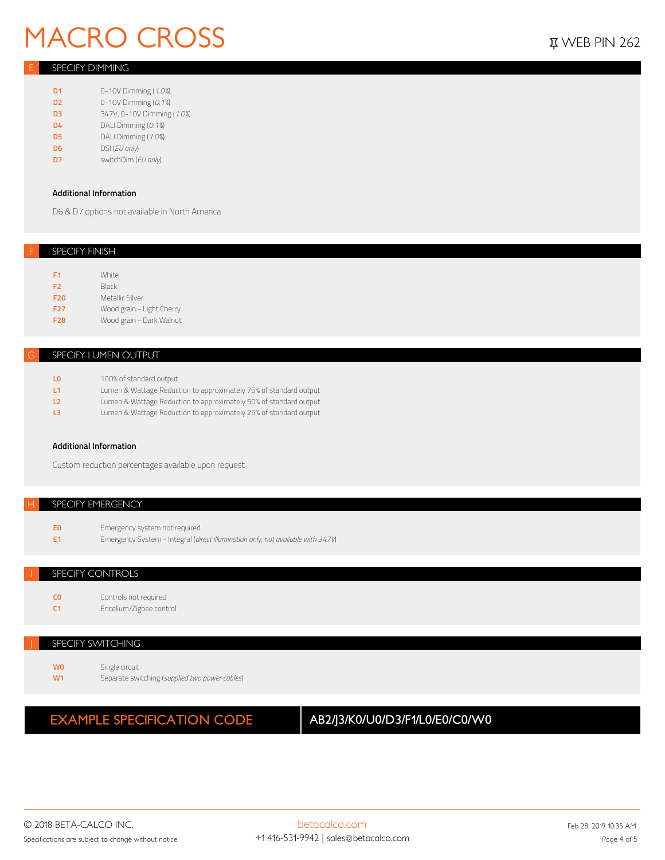# **MACRO CROSS** *WACRO CROSS*

#### *E SPECIFY DIMMING*

- **D1** 0-10V Dimming (*1.0%*)
- **D2** 0-10V Dimming (*0.1%*)
- **D3** 347V, 0-10V Dimming (*1.0%*)
- **D4** DALI Dimming (*0.1%*)
- **D5** DALI Dimming (*1.0%*)
- **D6** DSI (*EU only*)
- **D7** switchDim (*EU only*)

#### **Additional Information**

D6 & D7 options not available in North America

#### *F SPECIFY FINISH*

| F1              | White                     |
|-----------------|---------------------------|
| F <sub>2</sub>  | Black                     |
| <b>F20</b>      | Metallic Silver           |
| F <sub>27</sub> | Wood grain - Light Cherry |
| <b>F28</b>      | Wood grain - Dark Walnut  |
|                 |                           |

#### *G SPECIFY LUMEN OUTPUT*

| L <sub>0</sub> | 100% of standard output                                           |
|----------------|-------------------------------------------------------------------|
| <b>L1</b>      | Lumen & Wattage Reduction to approximately 75% of standard output |
| L <sub>2</sub> | Lumen & Wattage Reduction to approximately 50% of standard output |
| L3             | Lumen & Wattage Reduction to approximately 25% of standard output |

#### **Additional Information**

Custom reduction percentages available upon request

#### **SPECIFY EMERGENCY**

- **E0** Emergency system not required
- **E1** Emergency System Integral (*direct illumination only, not available with 347V*)

#### *I SPECIFY CONTROLS*

| <b>CO</b>      | Controls not required   |
|----------------|-------------------------|
| C <sub>1</sub> | Encelium/Zigbee control |

#### *J SPECIFY SWITCHING*

**W0** Single circuit **W1** Separate switching (*supplied two power cables*)

### **EXAMPLE SPECIFICATION CODE AB2/J3/K0/U0/D3/F1/L0/E0/C0/W0**